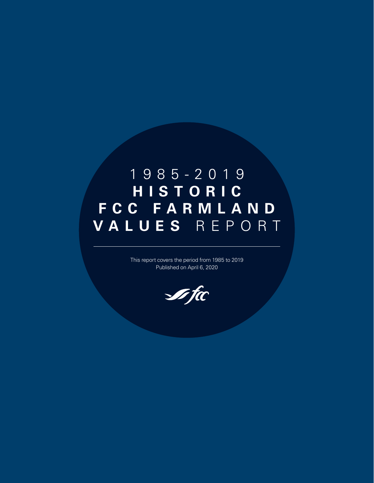## 1985-2019 **H I S T O R I C F C C F A R M L A N D VALUES** REPORT

This report covers the period from 1985 to 2019 Published on April 6, 2020

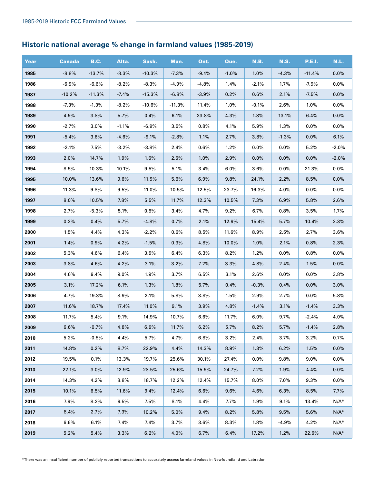## **Historic national average % change in farmland values (1985-2019)**

| Year | <b>Canada</b> | <b>B.C.</b> | Alta.   | Sask.    | Man.     | Ont.    | Que.    | <b>N.B.</b> | <b>N.S.</b> | <b>P.E.I.</b> | N.L.    |
|------|---------------|-------------|---------|----------|----------|---------|---------|-------------|-------------|---------------|---------|
| 1985 | $-8.8%$       | $-13.7%$    | $-8.3%$ | $-10.3%$ | $-7.3%$  | $-9.4%$ | $-1.0%$ | 1.0%        | $-4.3%$     | $-11.4%$      | 0.0%    |
| 1986 | $-6.9%$       | $-6.6%$     | $-8.2%$ | $-8.3%$  | $-4.9%$  | $-4.8%$ | 1.4%    | $-2.1%$     | 1.7%        | $-7.9%$       | 0.0%    |
| 1987 | $-10.2%$      | $-11.3%$    | $-7.4%$ | $-15.3%$ | $-6.8%$  | $-3.9%$ | 0.2%    | 0.6%        | 2.1%        | $-7.5%$       | 0.0%    |
| 1988 | $-7.3%$       | $-1.3%$     | $-8.2%$ | $-10.6%$ | $-11.3%$ | 11.4%   | 1.0%    | $-0.1%$     | 2.6%        | 1.0%          | 0.0%    |
| 1989 | 4.9%          | 3.8%        | 5.7%    | 0.4%     | 6.1%     | 23.8%   | 4.3%    | 1.8%        | 13.1%       | 6.4%          | 0.0%    |
| 1990 | $-2.7%$       | 3.0%        | $-1.1%$ | $-6.9%$  | 3.5%     | 0.8%    | 4.1%    | 5.9%        | 1.3%        | 0.0%          | 0.0%    |
| 1991 | $-5.4%$       | 3.6%        | $-4.6%$ | $-9.1%$  | $-2.8%$  | 1.1%    | 2.7%    | 3.8%        | $-1.3%$     | 0.0%          | 6.1%    |
| 1992 | $-2.1%$       | 7.5%        | $-3.2%$ | $-3.8%$  | 2.4%     | 0.6%    | 1.2%    | 0.0%        | 0.0%        | 5.2%          | $-2.0%$ |
| 1993 | 2.0%          | 14.7%       | 1.9%    | 1.6%     | 2.6%     | 1.0%    | 2.9%    | 0.0%        | 0.0%        | 0.0%          | $-2.0%$ |
| 1994 | 8.5%          | 10.3%       | 10.1%   | 9.5%     | 5.1%     | 3.4%    | 6.0%    | 3.6%        | 0.0%        | 21.3%         | 0.0%    |
| 1995 | 10.0%         | 13.6%       | 9.6%    | 11.9%    | 5.6%     | 6.9%    | 9.8%    | 24.1%       | 2.2%        | 8.5%          | 0.0%    |
| 1996 | 11.3%         | 9.8%        | 9.5%    | 11.0%    | 10.5%    | 12.5%   | 23.7%   | 16.3%       | 4.0%        | 0.0%          | 0.0%    |
| 1997 | 8.0%          | 10.5%       | 7.8%    | 5.5%     | 11.7%    | 12.3%   | 10.5%   | 7.3%        | 6.9%        | 5.8%          | 2.6%    |
| 1998 | 2.7%          | $-5.3%$     | 5.1%    | 0.5%     | 3.4%     | 4.7%    | 9.2%    | 6.7%        | 0.8%        | 3.5%          | 1.7%    |
| 1999 | 0.2%          | 0.4%        | 5.7%    | $-4.8%$  | 0.7%     | 2.1%    | 12.9%   | 15.4%       | 5.7%        | 10.4%         | 2.3%    |
| 2000 | 1.5%          | 4.4%        | 4.3%    | $-2.2%$  | 0.6%     | 8.5%    | 11.6%   | 8.9%        | 2.5%        | 2.7%          | 3.6%    |
| 2001 | 1.4%          | 0.9%        | 4.2%    | $-1.5%$  | 0.3%     | 4.8%    | 10.0%   | 1.0%        | 2.1%        | 0.8%          | 2.3%    |
| 2002 | 5.3%          | 4.6%        | 6.4%    | 3.9%     | 6.4%     | 6.3%    | 8.2%    | 1.2%        | 0.0%        | 0.8%          | 0.0%    |
| 2003 | 3.8%          | 4.6%        | 4.2%    | 3.1%     | 3.2%     | 7.2%    | 3.3%    | 4.8%        | 2.4%        | 1.5%          | 0.0%    |
| 2004 | 4.6%          | 9.4%        | 9.0%    | 1.9%     | 3.7%     | 6.5%    | 3.1%    | 2.6%        | 0.0%        | 0.0%          | 3.8%    |
| 2005 | 3.1%          | 17.2%       | 6.1%    | 1.3%     | 1.8%     | 5.7%    | 0.4%    | $-0.3%$     | 0.4%        | 0.0%          | 3.0%    |
| 2006 | 4.7%          | 19.3%       | $8.9\%$ | 2.1%     | 5.8%     | 3.8%    | 1.5%    | 2.9%        | 2.7%        | 0.0%          | 5.8%    |
| 2007 | 11.6%         | 18.7%       | 17.4%   | 11.0%    | 9.1%     | 3.9%    | 4.8%    | $-1.4%$     | 3.1%        | $-1.4%$       | 3.3%    |
| 2008 | 11.7%         | 5.4%        | 9.1%    | 14.9%    | 10.7%    | 6.6%    | 11.7%   | 6.0%        | 9.7%        | $-2.4%$       | 4.0%    |
| 2009 | 6.6%          | $-0.7%$     | 4.8%    | 6.9%     | 11.7%    | 6.2%    | 5.7%    | 8.2%        | 5.7%        | $-1.4%$       | 2.8%    |
| 2010 | 5.2%          | $-0.5%$     | 4.4%    | 5.7%     | 4.7%     | 6.8%    | 3.2%    | 2.4%        | 3.7%        | 3.2%          | 0.7%    |
| 2011 | 14.8%         | 0.2%        | 8.7%    | 22.9%    | 4.4%     | 14.3%   | 8.9%    | 1.3%        | 6.2%        | 1.5%          | 0.0%    |
| 2012 | 19.5%         | 0.1%        | 13.3%   | 19.7%    | 25.6%    | 30.1%   | 27.4%   | $0.0\%$     | 9.8%        | 9.0%          | 0.0%    |
| 2013 | 22.1%         | 3.0%        | 12.9%   | 28.5%    | 25.6%    | 15.9%   | 24.7%   | 7.2%        | 1.9%        | 4.4%          | 0.0%    |
| 2014 | 14.3%         | 4.2%        | 8.8%    | 18.7%    | 12.2%    | 12.4%   | 15.7%   | 8.0%        | 7.0%        | 9.3%          | $0.0\%$ |
| 2015 | 10.1%         | 6.5%        | 11.6%   | 9.4%     | 12.4%    | 6.6%    | 9.6%    | 4.6%        | 6.3%        | 8.5%          | 7.7%    |
| 2016 | 7.9%          | 8.2%        | 9.5%    | 7.5%     | 8.1%     | 4.4%    | 7.7%    | 1.9%        | 9.1%        | 13.4%         | $N/A^*$ |
| 2017 | 8.4%          | 2.7%        | 7.3%    | 10.2%    | 5.0%     | 9.4%    | 8.2%    | 5.8%        | 9.5%        | 5.6%          | $N/A^*$ |
| 2018 | 6.6%          | 6.1%        | 7.4%    | 7.4%     | 3.7%     | 3.6%    | 8.3%    | 1.8%        | $-4.9%$     | 4.2%          | $N/A^*$ |
| 2019 | 5.2%          | 5.4%        | 3.3%    | 6.2%     | 4.0%     | 6.7%    | 6.4%    | 17.2%       | 1.2%        | 22.6%         | $N/A^*$ |

\*There was an insufficient number of publicly reported transactions to accurately assess farmland values in Newfoundland and Labrador.